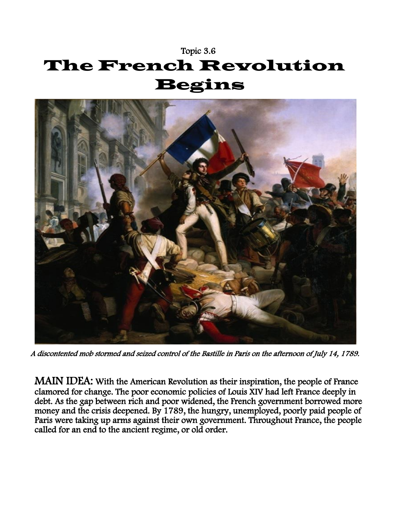## Topic 3.6 The French Revolution Begins



A discontented mob stormed and seized control of the Bastille in Paris on the afternoon of July 14, 1789.

MAIN IDEA: With the American Revolution as their inspiration, the people of France clamored for change. The poor economic policies of Louis XIV had left France deeply in debt. As the gap between rich and poor widened, the French government borrowed more money and the crisis deepened. By 1789, the hungry, unemployed, poorly paid people of Paris were taking up arms against their own government. Throughout France, the people called for an end to the ancient regime, or old order.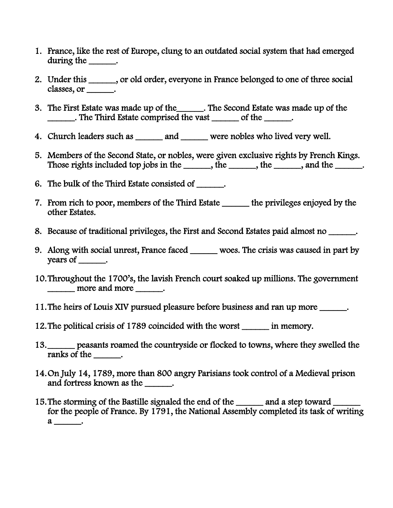- 1. France, like the rest of Europe, clung to an outdated social system that had emerged during the  $\_\_\_\_\_\$ .
- 2. Under this \_\_\_\_\_\_, or old order, everyone in France belonged to one of three social classes, or \_\_\_\_\_\_.
- 3. The First Estate was made up of the\_\_\_\_\_\_. The Second Estate was made up of the \_\_\_\_\_\_. The Third Estate comprised the vast \_\_\_\_\_\_ of the \_\_\_\_\_\_.
- 4. Church leaders such as \_\_\_\_\_\_ and \_\_\_\_\_\_ were nobles who lived very well.
- 5. Members of the Second State, or nobles, were given exclusive rights by French Kings. Those rights included top jobs in the \_\_\_\_\_\_, the \_\_\_\_\_, the \_\_\_\_\_, and the \_\_\_\_\_.
- 6. The bulk of the Third Estate consisted of \_\_\_\_\_\_.
- 7. From rich to poor, members of the Third Estate \_\_\_\_\_\_ the privileges enjoyed by the other Estates.
- 8. Because of traditional privileges, the First and Second Estates paid almost no \_\_\_\_\_\_.
- 9. Along with social unrest, France faced \_\_\_\_\_\_ woes. The crisis was caused in part by years of \_\_\_\_\_\_\_.
- 10.Throughout the 1700's, the lavish French court soaked up millions. The government \_\_\_\_\_\_ more and more \_\_\_\_\_\_.
- 11.The heirs of Louis XIV pursued pleasure before business and ran up more \_\_\_\_\_\_.
- 12.The political crisis of 1789 coincided with the worst \_\_\_\_\_\_ in memory.
- 13.\_\_\_\_\_\_ peasants roamed the countryside or flocked to towns, where they swelled the ranks of the  $\qquad$ .
- 14.On July 14, 1789, more than 800 angry Parisians took control of a Medieval prison and fortress known as the \_\_\_\_\_\_.
- 15. The storming of the Bastille signaled the end of the \_\_\_\_\_\_ and a step toward \_\_\_\_\_ for the people of France. By 1791, the National Assembly completed its task of writing  $a$  \_\_\_\_\_\_\_\_.